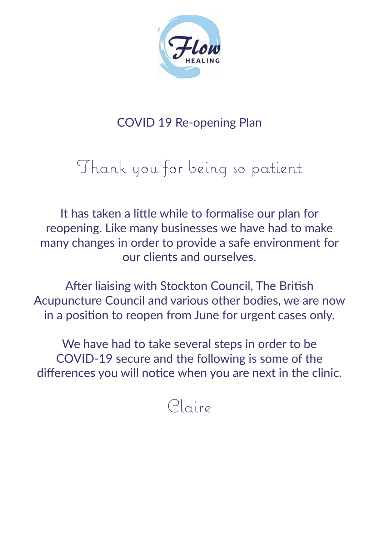

## COVID 19 Re-opening Plan

# Thank you for being so patient

It has taken a little while to formalise our plan for reopening. Like many businesses we have had to make many changes in order to provide a safe environment for our clients and ourselves.

After liaising with Stockton Council, The British Acupuncture Council and various other bodies, we are now in a position to reopen from June for urgent cases only.

We have had to take several steps in order to be COVID-19 secure and the following is some of the differences you will notice when you are next in the clinic.

# Claire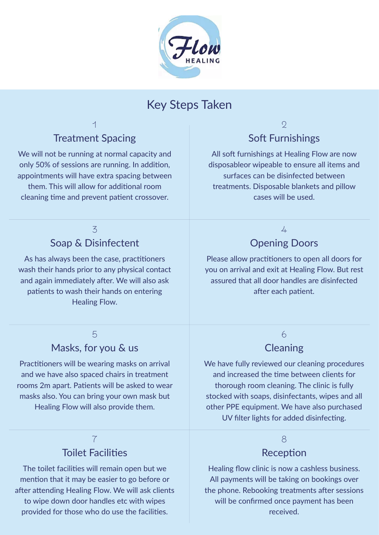

### Key Steps Taken

### Treatment Spacing

1

We will not be running at normal capacity and only 50% of sessions are running. In addition, appointments will have extra spacing between them. This will allow for additional room cleaning time and prevent patient crossover.

#### 3 Soap & Disinfectent

As has always been the case, practitioners wash their hands prior to any physical contact and again immediately after. We will also ask patients to wash their hands on entering Healing Flow.

#### 5 Masks, for you & us

Practitioners will be wearing masks on arrival and we have also spaced chairs in treatment rooms 2m apart. Patients will be asked to wear masks also. You can bring your own mask but Healing Flow will also provide them.

#### 7 Toilet Facilities

The toilet facilities will remain open but we mention that it may be easier to go before or after attending Healing Flow. We will ask clients to wipe down door handles etc with wipes provided for those who do use the facilities.

#### $\circ$ Soft Furnishings

All soft furnishings at Healing Flow are now disposableor wipeable to ensure all items and surfaces can be disinfected between treatments. Disposable blankets and pillow cases will be used.

#### $\frac{1}{4}$

#### Opening Doors

Please allow practitioners to open all doors for you on arrival and exit at Healing Flow. But rest assured that all door handles are disinfected after each patient.

#### 6

#### **Cleaning**

We have fully reviewed our cleaning procedures and increased the time between clients for thorough room cleaning. The clinic is fully stocked with soaps, disinfectants, wipes and all other PPE equipment. We have also purchased UV filter lights for added disinfecting.

#### 8

#### Reception

Healing flow clinic is now a cashless business. All payments will be taking on bookings over the phone. Rebooking treatments after sessions will be confirmed once payment has been received.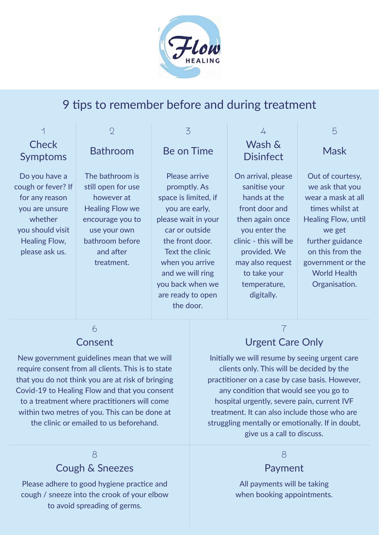

## 9 tips to remember before and during treatment

| 1                               | $\overline{2}$         | 3                    | 4                          | 5                   |
|---------------------------------|------------------------|----------------------|----------------------------|---------------------|
| <b>Check</b><br><b>Symptoms</b> | <b>Bathroom</b>        | Be on Time           | Wash &<br><b>Disinfect</b> | <b>Mask</b>         |
| Do you have a                   | The bathroom is        | Please arrive        | On arrival, please         | Out of courtesy,    |
| cough or fever? If              | still open for use     | promptly. As         | sanitise your              | we ask that you     |
| for any reason                  | however at             | space is limited, if | hands at the               | wear a mask at all  |
| you are unsure                  | <b>Healing Flow we</b> | you are early,       | front door and             | times whilst at     |
| whether                         | encourage you to       | please wait in your  | then again once            | Healing Flow, until |
| you should visit                | use your own           | car or outside       | you enter the              | we get              |
| Healing Flow,                   | bathroom before        | the front door.      | clinic - this will be      | further guidance    |
| please ask us.                  | and after              | Text the clinic      | provided. We               | on this from the    |
|                                 | treatment.             | when you arrive      | may also request           | government or the   |
|                                 |                        | and we will ring     | to take your               | <b>World Health</b> |
|                                 |                        | you back when we     | temperature,               | Organisation.       |
|                                 |                        | are ready to open    | digitally.                 |                     |

the door.

#### 6 Consent

New government guidelines mean that we will require consent from all clients. This is to state that you do not think you are at risk of bringing Covid-19 to Healing Flow and that you consent to a treatment where practitioners will come within two metres of you. This can be done at the clinic or emailed to us beforehand.

#### 8 Cough & Sneezes

Please adhere to good hygiene practice and cough / sneeze into the crook of your elbow to avoid spreading of germs.

## Urgent Care Only

7

Initially we will resume by seeing urgent care clients only. This will be decided by the practitioner on a case by case basis. However, any condition that would see you go to hospital urgently, severe pain, current IVF treatment. It can also include those who are struggling mentally or emotionally. If in doubt, give us a call to discuss.

#### 8

#### Payment

All payments will be taking when booking appointments.